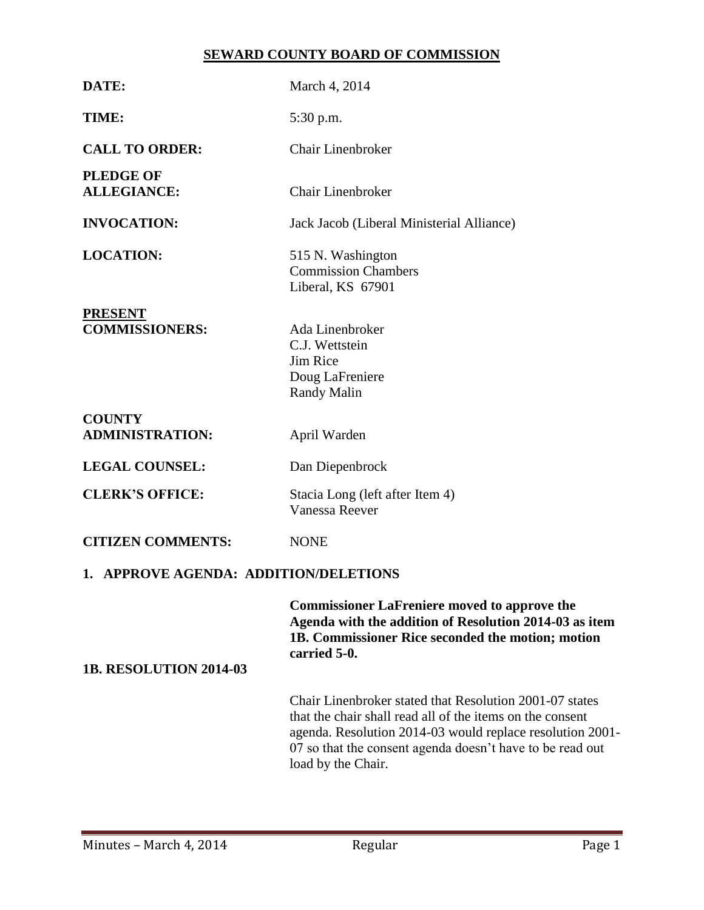# **SEWARD COUNTY BOARD OF COMMISSION**

| DATE:                                   | March 4, 2014                                                                                                                                                                                                                                                        |  |  |  |  |
|-----------------------------------------|----------------------------------------------------------------------------------------------------------------------------------------------------------------------------------------------------------------------------------------------------------------------|--|--|--|--|
| TIME:                                   | 5:30 p.m.                                                                                                                                                                                                                                                            |  |  |  |  |
| <b>CALL TO ORDER:</b>                   | <b>Chair Linenbroker</b>                                                                                                                                                                                                                                             |  |  |  |  |
| <b>PLEDGE OF</b><br><b>ALLEGIANCE:</b>  | Chair Linenbroker                                                                                                                                                                                                                                                    |  |  |  |  |
| <b>INVOCATION:</b>                      | Jack Jacob (Liberal Ministerial Alliance)                                                                                                                                                                                                                            |  |  |  |  |
| <b>LOCATION:</b>                        | 515 N. Washington<br><b>Commission Chambers</b><br>Liberal, KS 67901                                                                                                                                                                                                 |  |  |  |  |
| <b>PRESENT</b><br><b>COMMISSIONERS:</b> | Ada Linenbroker<br>C.J. Wettstein<br>Jim Rice<br>Doug LaFreniere<br><b>Randy Malin</b>                                                                                                                                                                               |  |  |  |  |
| <b>COUNTY</b><br><b>ADMINISTRATION:</b> | April Warden                                                                                                                                                                                                                                                         |  |  |  |  |
| <b>LEGAL COUNSEL:</b>                   | Dan Diepenbrock                                                                                                                                                                                                                                                      |  |  |  |  |
| <b>CLERK'S OFFICE:</b>                  | Stacia Long (left after Item 4)<br><b>Vanessa Reever</b>                                                                                                                                                                                                             |  |  |  |  |
| <b>CITIZEN COMMENTS:</b>                | <b>NONE</b>                                                                                                                                                                                                                                                          |  |  |  |  |
| 1. APPROVE AGENDA: ADDITION/DELETIONS   |                                                                                                                                                                                                                                                                      |  |  |  |  |
| <b>1B. RESOLUTION 2014-03</b>           | <b>Commissioner LaFreniere moved to approve the</b><br>Agenda with the addition of Resolution 2014-03 as item<br>1B. Commissioner Rice seconded the motion; motion<br>carried 5-0.                                                                                   |  |  |  |  |
|                                         | Chair Linenbroker stated that Resolution 2001-07 states<br>that the chair shall read all of the items on the consent<br>agenda. Resolution 2014-03 would replace resolution 2001-<br>07 so that the consent agenda doesn't have to be read out<br>load by the Chair. |  |  |  |  |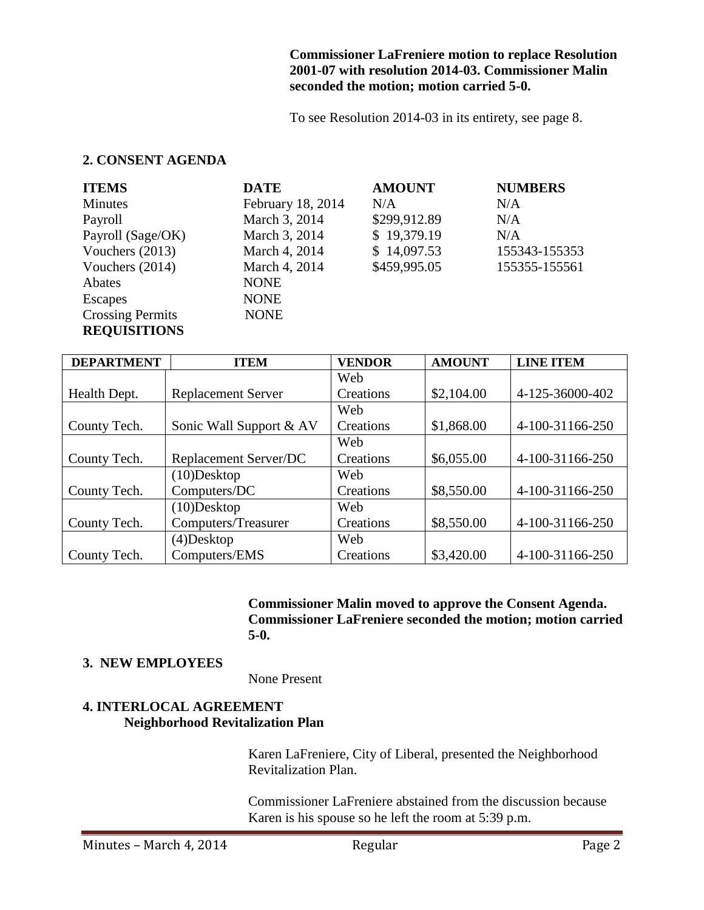#### **Commissioner LaFreniere motion to replace Resolution 2001-07 with resolution 2014-03. Commissioner Malin seconded the motion; motion carried 5-0.**

To see Resolution 2014-03 in its entirety, see page 8.

### **2. CONSENT AGENDA**

| <b>ITEMS</b>            | <b>DATE</b>       | <b>AMOUNT</b> | <b>NUMBERS</b> |
|-------------------------|-------------------|---------------|----------------|
| <b>Minutes</b>          | February 18, 2014 | N/A           | N/A            |
| Payroll                 | March 3, 2014     | \$299,912.89  | N/A            |
| Payroll (Sage/OK)       | March 3, 2014     | \$19,379.19   | N/A            |
| Vouchers (2013)         | March 4, 2014     | \$14,097.53   | 155343-155353  |
| Vouchers (2014)         | March 4, 2014     | \$459,995.05  | 155355-155561  |
| Abates                  | <b>NONE</b>       |               |                |
| <b>Escapes</b>          | <b>NONE</b>       |               |                |
| <b>Crossing Permits</b> | <b>NONE</b>       |               |                |
| <b>REQUISITIONS</b>     |                   |               |                |

| <b>DEPARTMENT</b> | <b>ITEM</b>               | <b>VENDOR</b> | <b>AMOUNT</b> | <b>LINE ITEM</b> |
|-------------------|---------------------------|---------------|---------------|------------------|
|                   |                           | Web           |               |                  |
| Health Dept.      | <b>Replacement Server</b> | Creations     | \$2,104.00    | 4-125-36000-402  |
|                   |                           | Web           |               |                  |
| County Tech.      | Sonic Wall Support & AV   | Creations     | \$1,868.00    | 4-100-31166-250  |
|                   |                           | Web           |               |                  |
| County Tech.      | Replacement Server/DC     | Creations     | \$6,055.00    | 4-100-31166-250  |
|                   | $(10)$ Desktop            | Web           |               |                  |
| County Tech.      | Computers/DC              | Creations     | \$8,550.00    | 4-100-31166-250  |
|                   | $(10)$ Desktop            | Web           |               |                  |
| County Tech.      | Computers/Treasurer       | Creations     | \$8,550.00    | 4-100-31166-250  |
|                   | $(4)$ Desktop             | Web           |               |                  |
| County Tech.      | Computers/EMS             | Creations     | \$3,420.00    | 4-100-31166-250  |

**Commissioner Malin moved to approve the Consent Agenda. Commissioner LaFreniere seconded the motion; motion carried 5-0.**

### **3. NEW EMPLOYEES**

None Present

### **4. INTERLOCAL AGREEMENT Neighborhood Revitalization Plan**

Karen LaFreniere, City of Liberal, presented the Neighborhood Revitalization Plan.

Commissioner LaFreniere abstained from the discussion because Karen is his spouse so he left the room at 5:39 p.m.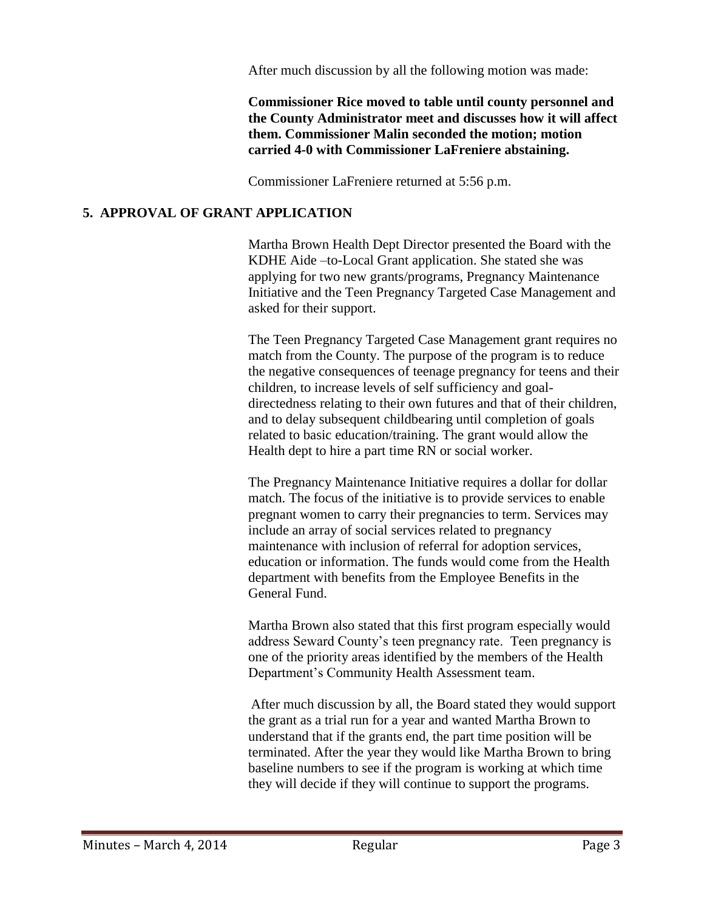After much discussion by all the following motion was made:

**Commissioner Rice moved to table until county personnel and the County Administrator meet and discusses how it will affect them. Commissioner Malin seconded the motion; motion carried 4-0 with Commissioner LaFreniere abstaining.**

Commissioner LaFreniere returned at 5:56 p.m.

### **5. APPROVAL OF GRANT APPLICATION**

Martha Brown Health Dept Director presented the Board with the KDHE Aide –to-Local Grant application. She stated she was applying for two new grants/programs, Pregnancy Maintenance Initiative and the Teen Pregnancy Targeted Case Management and asked for their support.

The Teen Pregnancy Targeted Case Management grant requires no match from the County. The purpose of the program is to reduce the negative consequences of teenage pregnancy for teens and their children, to increase levels of self sufficiency and goaldirectedness relating to their own futures and that of their children, and to delay subsequent childbearing until completion of goals related to basic education/training. The grant would allow the Health dept to hire a part time RN or social worker.

The Pregnancy Maintenance Initiative requires a dollar for dollar match. The focus of the initiative is to provide services to enable pregnant women to carry their pregnancies to term. Services may include an array of social services related to pregnancy maintenance with inclusion of referral for adoption services, education or information. The funds would come from the Health department with benefits from the Employee Benefits in the General Fund.

Martha Brown also stated that this first program especially would address Seward County's teen pregnancy rate. Teen pregnancy is one of the priority areas identified by the members of the Health Department's Community Health Assessment team.

After much discussion by all, the Board stated they would support the grant as a trial run for a year and wanted Martha Brown to understand that if the grants end, the part time position will be terminated. After the year they would like Martha Brown to bring baseline numbers to see if the program is working at which time they will decide if they will continue to support the programs.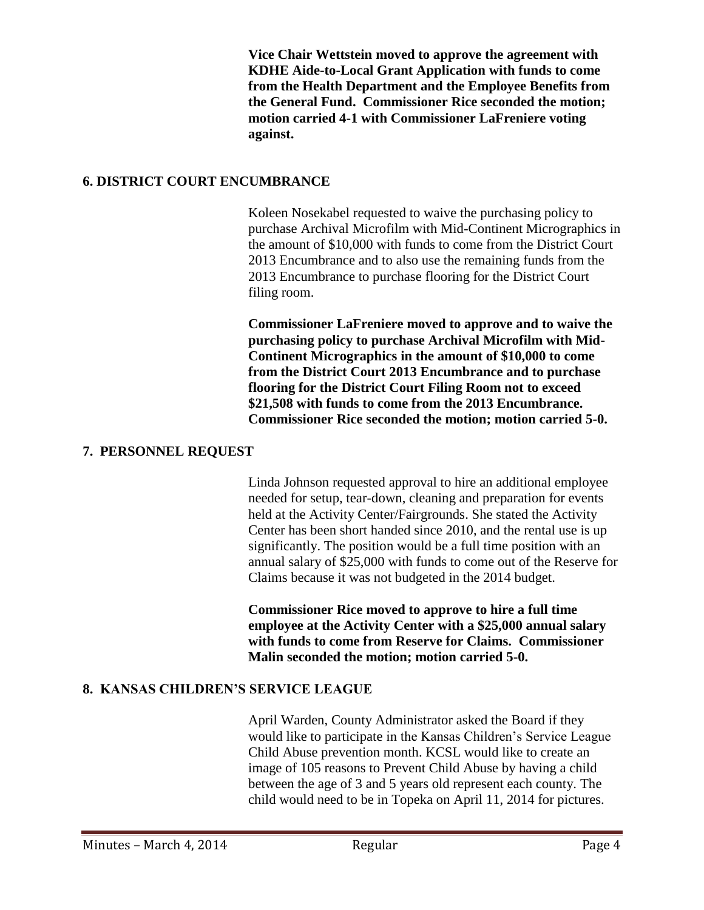**Vice Chair Wettstein moved to approve the agreement with KDHE Aide-to-Local Grant Application with funds to come from the Health Department and the Employee Benefits from the General Fund. Commissioner Rice seconded the motion; motion carried 4-1 with Commissioner LaFreniere voting against.**

#### **6. DISTRICT COURT ENCUMBRANCE**

Koleen Nosekabel requested to waive the purchasing policy to purchase Archival Microfilm with Mid-Continent Micrographics in the amount of \$10,000 with funds to come from the District Court 2013 Encumbrance and to also use the remaining funds from the 2013 Encumbrance to purchase flooring for the District Court filing room.

**Commissioner LaFreniere moved to approve and to waive the purchasing policy to purchase Archival Microfilm with Mid-Continent Micrographics in the amount of \$10,000 to come from the District Court 2013 Encumbrance and to purchase flooring for the District Court Filing Room not to exceed \$21,508 with funds to come from the 2013 Encumbrance. Commissioner Rice seconded the motion; motion carried 5-0.**

#### **7. PERSONNEL REQUEST**

Linda Johnson requested approval to hire an additional employee needed for setup, tear-down, cleaning and preparation for events held at the Activity Center/Fairgrounds. She stated the Activity Center has been short handed since 2010, and the rental use is up significantly. The position would be a full time position with an annual salary of \$25,000 with funds to come out of the Reserve for Claims because it was not budgeted in the 2014 budget.

**Commissioner Rice moved to approve to hire a full time employee at the Activity Center with a \$25,000 annual salary with funds to come from Reserve for Claims. Commissioner Malin seconded the motion; motion carried 5-0.**

### **8. KANSAS CHILDREN'S SERVICE LEAGUE**

April Warden, County Administrator asked the Board if they would like to participate in the Kansas Children's Service League Child Abuse prevention month. KCSL would like to create an image of 105 reasons to Prevent Child Abuse by having a child between the age of 3 and 5 years old represent each county. The child would need to be in Topeka on April 11, 2014 for pictures.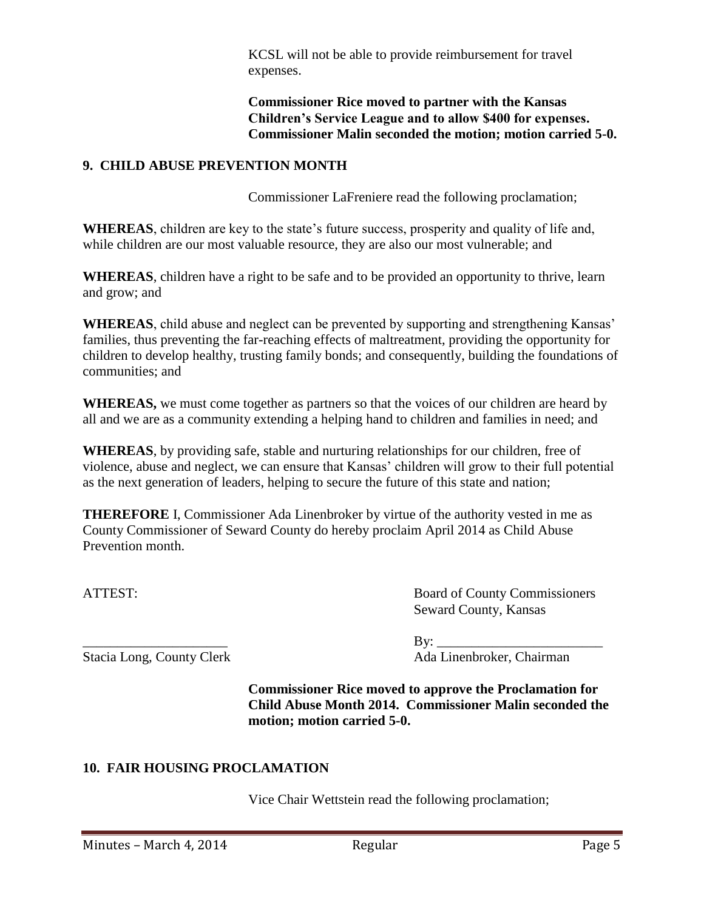KCSL will not be able to provide reimbursement for travel expenses.

**Commissioner Rice moved to partner with the Kansas Children's Service League and to allow \$400 for expenses. Commissioner Malin seconded the motion; motion carried 5-0.**

### **9. CHILD ABUSE PREVENTION MONTH**

Commissioner LaFreniere read the following proclamation;

**WHEREAS**, children are key to the state's future success, prosperity and quality of life and, while children are our most valuable resource, they are also our most vulnerable; and

**WHEREAS**, children have a right to be safe and to be provided an opportunity to thrive, learn and grow; and

**WHEREAS**, child abuse and neglect can be prevented by supporting and strengthening Kansas' families, thus preventing the far-reaching effects of maltreatment, providing the opportunity for children to develop healthy, trusting family bonds; and consequently, building the foundations of communities; and

**WHEREAS,** we must come together as partners so that the voices of our children are heard by all and we are as a community extending a helping hand to children and families in need; and

**WHEREAS**, by providing safe, stable and nurturing relationships for our children, free of violence, abuse and neglect, we can ensure that Kansas' children will grow to their full potential as the next generation of leaders, helping to secure the future of this state and nation;

**THEREFORE** I, Commissioner Ada Linenbroker by virtue of the authority vested in me as County Commissioner of Seward County do hereby proclaim April 2014 as Child Abuse Prevention month.

ATTEST: Board of County Commissioners Seward County, Kansas

\_\_\_\_\_\_\_\_\_\_\_\_\_\_\_\_\_\_\_\_\_ By: \_\_\_\_\_\_\_\_\_\_\_\_\_\_\_\_\_\_\_\_\_\_\_\_ Stacia Long, County Clerk Ada Linenbroker, Chairman

> **Commissioner Rice moved to approve the Proclamation for Child Abuse Month 2014. Commissioner Malin seconded the motion; motion carried 5-0.**

# **10. FAIR HOUSING PROCLAMATION**

Vice Chair Wettstein read the following proclamation;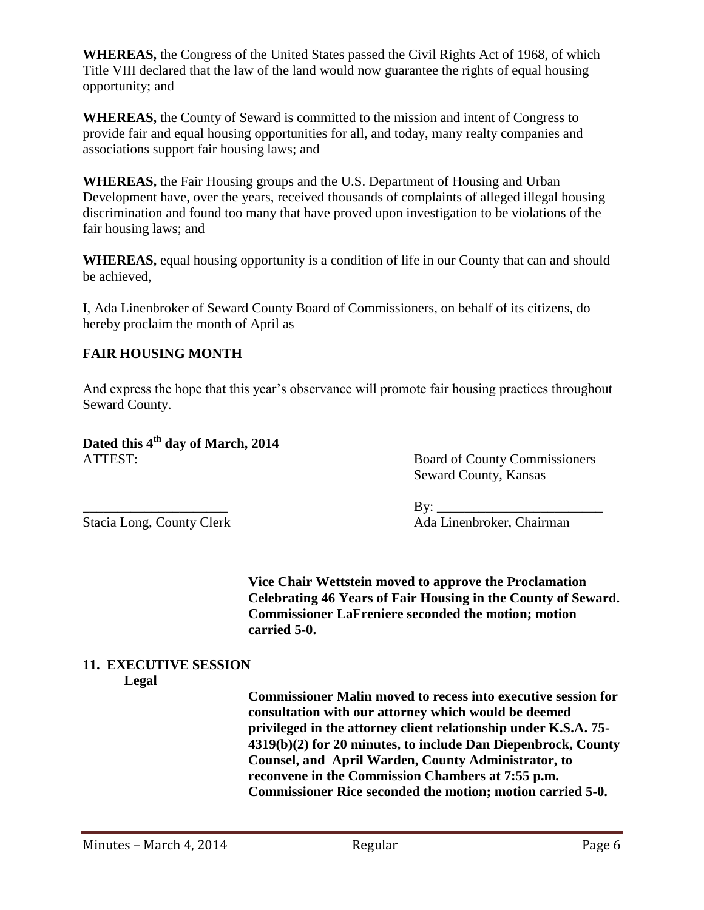**WHEREAS,** the Congress of the United States passed the Civil Rights Act of 1968, of which Title VIII declared that the law of the land would now guarantee the rights of equal housing opportunity; and

**WHEREAS,** the County of Seward is committed to the mission and intent of Congress to provide fair and equal housing opportunities for all, and today, many realty companies and associations support fair housing laws; and

**WHEREAS,** the Fair Housing groups and the U.S. Department of Housing and Urban Development have, over the years, received thousands of complaints of alleged illegal housing discrimination and found too many that have proved upon investigation to be violations of the fair housing laws; and

**WHEREAS,** equal housing opportunity is a condition of life in our County that can and should be achieved,

I, Ada Linenbroker of Seward County Board of Commissioners, on behalf of its citizens, do hereby proclaim the month of April as

# **FAIR HOUSING MONTH**

And express the hope that this year's observance will promote fair housing practices throughout Seward County.

**Dated this 4th day of March, 2014** ATTEST: Board of County Commissioners

Seward County, Kansas

\_\_\_\_\_\_\_\_\_\_\_\_\_\_\_\_\_\_\_\_\_ By: \_\_\_\_\_\_\_\_\_\_\_\_\_\_\_\_\_\_\_\_\_\_\_\_ Stacia Long, County Clerk Ada Linenbroker, Chairman

> **Vice Chair Wettstein moved to approve the Proclamation Celebrating 46 Years of Fair Housing in the County of Seward. Commissioner LaFreniere seconded the motion; motion carried 5-0.**

# **11. EXECUTIVE SESSION**

#### **Legal**

**Commissioner Malin moved to recess into executive session for consultation with our attorney which would be deemed privileged in the attorney client relationship under K.S.A. 75- 4319(b)(2) for 20 minutes, to include Dan Diepenbrock, County Counsel, and April Warden, County Administrator, to reconvene in the Commission Chambers at 7:55 p.m. Commissioner Rice seconded the motion; motion carried 5-0.**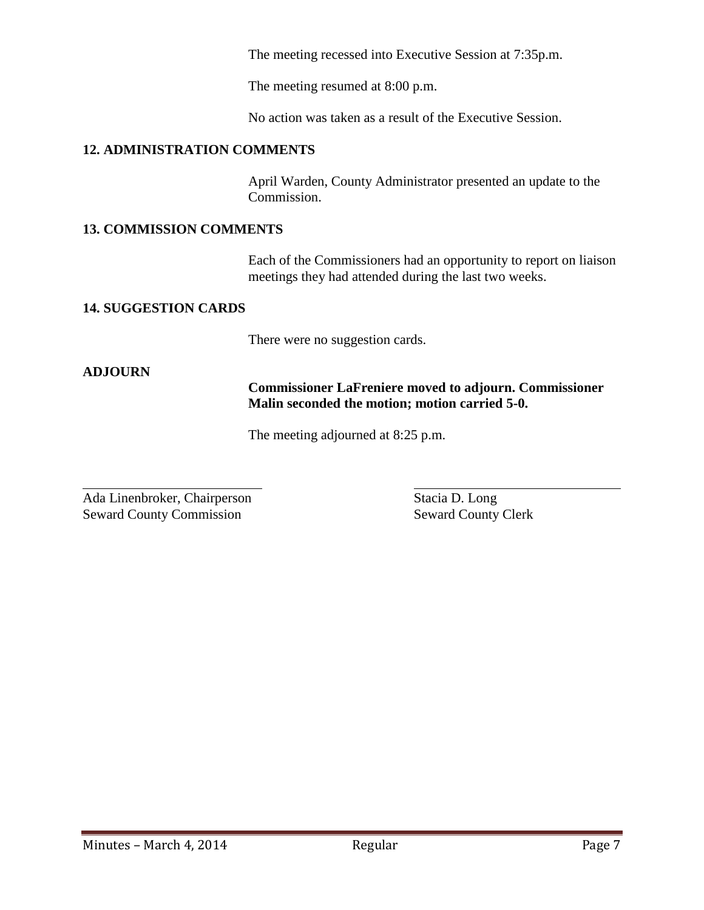The meeting recessed into Executive Session at 7:35p.m.

The meeting resumed at 8:00 p.m.

No action was taken as a result of the Executive Session.

### **12. ADMINISTRATION COMMENTS**

April Warden, County Administrator presented an update to the Commission.

### **13. COMMISSION COMMENTS**

Each of the Commissioners had an opportunity to report on liaison meetings they had attended during the last two weeks.

### **14. SUGGESTION CARDS**

There were no suggestion cards.

### **ADJOURN**

l

### **Commissioner LaFreniere moved to adjourn. Commissioner Malin seconded the motion; motion carried 5-0.**

The meeting adjourned at 8:25 p.m.

Ada Linenbroker, Chairperson Stacia D. Long Seward County Commission<br>
Seward County Clerk